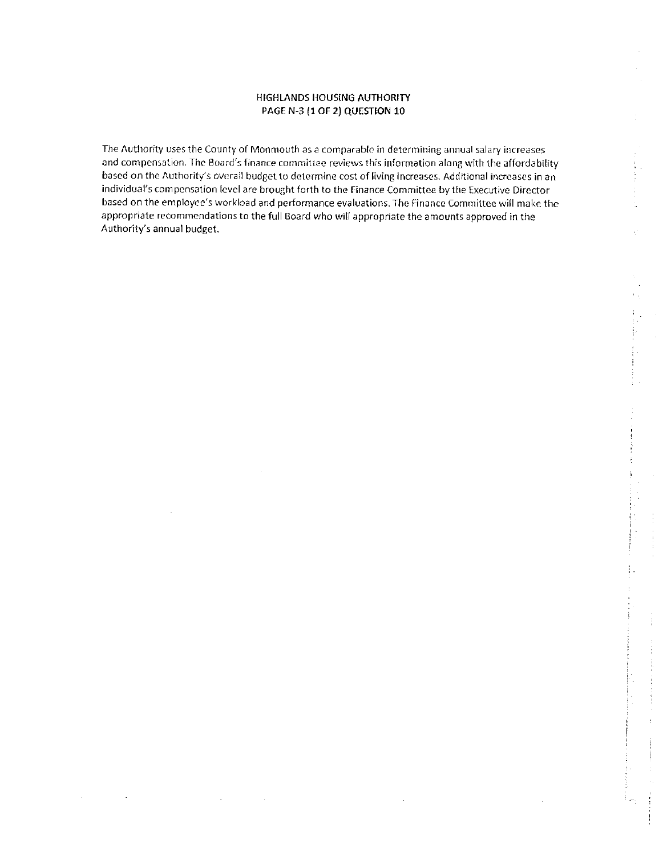## **HIGHLANDS HOUSING AUTHORITY** PAGE N-3 (1 OF 2) QUESTION 10

The Authority uses the County of Monmouth as a comparable in determining annual salary increases and compensation. The Board's finance committee reviews this information along with the affordability based on the Authority's overall budget to determine cost of living increases. Additional increases in an individual's compensation level are brought forth to the Finance Committee by the Executive Director based on the employee's workload and performance evaluations. The Finance Committee will make the appropriate recommendations to the full Board who will appropriate the amounts approved in the Authority's annual budget.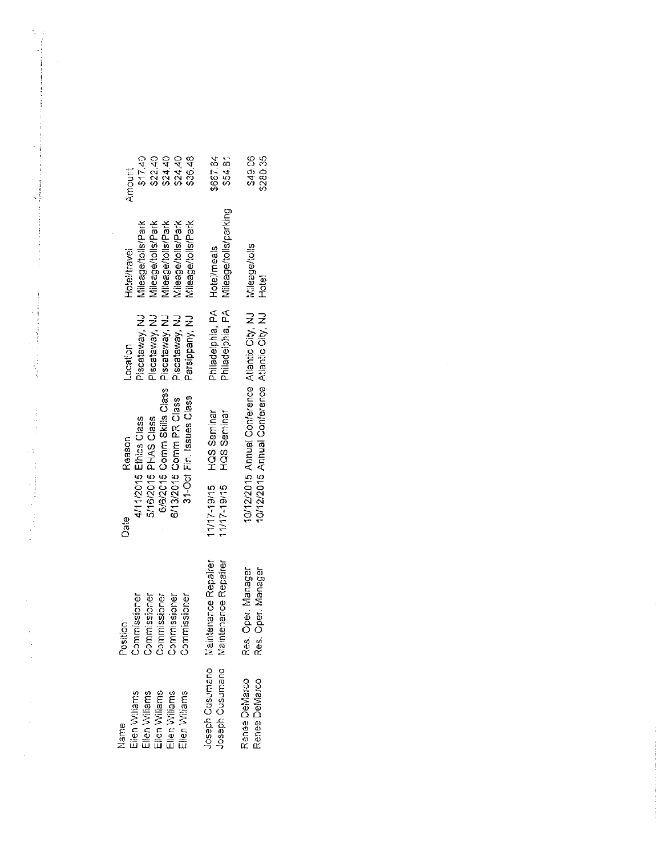| Eilen Willams<br>Ellen Williams<br>Ellen Williams<br>Ellen Williams<br>Ellen Williams<br>Name | Position<br>Commissioner<br>Commissioner<br>Commissioner<br>Commissioner | 6/6/2015 Comm Skills Class<br>31-Oct Fin. Issues Class<br>6/13/2015 Comm PR Class<br>4/11/2015 Ethics Class<br>5/16/2015 PHAS Class<br>Reason<br>Date | Piscataway, NJ<br>Piscataway, NJ<br>Parsippany, NJ<br>Piscataway, NJ<br>Piscataway, NJ<br>Location | Villeage/tolls/Park<br>Mileage/tolls/Park<br>Mileage/tolls/Park<br>Vileage/tolls/Park<br>Mileage/tolls/Park<br>Hotel/travel | \$36.48<br>\$17.40<br>\$22.40<br>\$24.40<br>\$24.40<br>Amount |
|-----------------------------------------------------------------------------------------------|--------------------------------------------------------------------------|-------------------------------------------------------------------------------------------------------------------------------------------------------|----------------------------------------------------------------------------------------------------|-----------------------------------------------------------------------------------------------------------------------------|---------------------------------------------------------------|
| Joseph Cusumano<br>Joseph Cusumano                                                            | Maintenance Repairer<br>Maintenance Repairer                             | HQS Seminar<br>HQS Seminar<br>11/17-19/15<br>11/17 19/15                                                                                              | Philadelphia, PA<br>Philadelphia, PA                                                               | Mileage/tolls/parking<br>Hotel/meals                                                                                        | \$637.64<br>\$54.81                                           |
| Renee DeMarco<br>Renee DeMarco                                                                | Res. Oper. Manager<br>Oper Manager<br>Res.                               | 10/12/2015 Annual Conference Atlantic City, NJ<br>10/12/2015 Annual Conference Atlantic City, NJ                                                      |                                                                                                    | Mileage/tolls<br>Hotel                                                                                                      | \$49.06<br>\$280.35                                           |
|                                                                                               |                                                                          |                                                                                                                                                       |                                                                                                    |                                                                                                                             |                                                               |

 $\frac{1}{2}$ 

 $\label{eq:2.1} \begin{array}{l} \mathcal{L}_{\text{max}}(\mathcal{L}_{\text{max}}) = \mathcal{L}_{\text{max}}(\mathcal{L}_{\text{max}}) \times \mathcal{L}_{\text{max}}(\mathcal{L}_{\text{max}}) \times \mathcal{L}_{\text{max}}(\mathcal{L}_{\text{max}}) \times \mathcal{L}_{\text{max}}(\mathcal{L}_{\text{max}}) \times \mathcal{L}_{\text{max}}(\mathcal{L}_{\text{max}}) \times \mathcal{L}_{\text{max}}(\mathcal{L}_{\text{max}}) \times \mathcal{L}_{\text{max}}(\mathcal{L}_{\text{max}}) \times \mathcal{L$ 

 $\mathcal{O}(\mathcal{O}(\log n))$  . The contract of the set of the set of the set of the set of the set of the set of the set of the set of the set of the set of the set of the set of the set of the set of the set of the set of the set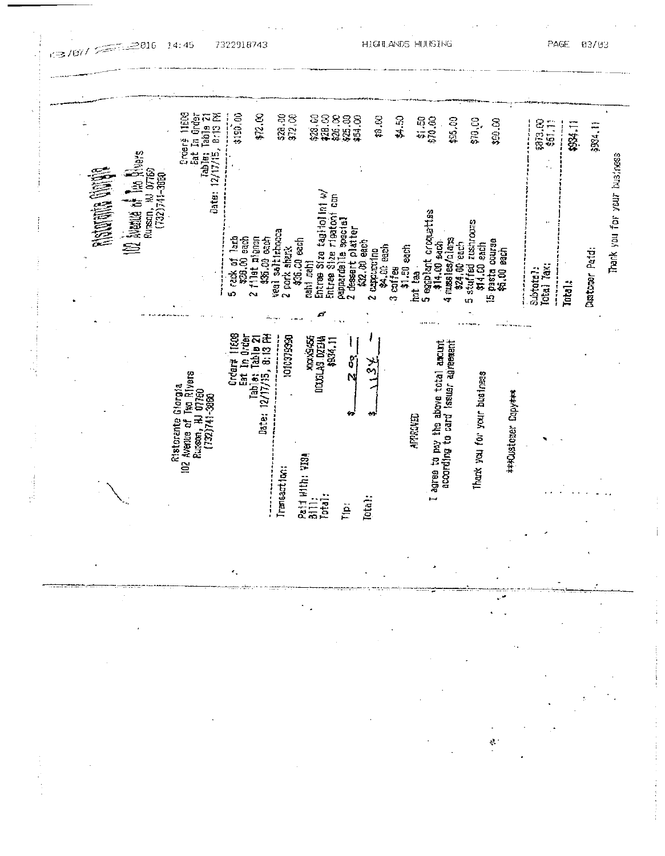|                                                | 11608<br>B:13 PM                                               | \$190.00<br>\$72.00                                                           | \$28.00<br>\$72.00                                               | <b>228222</b><br>23822                                         | 13.00                                        | \$4.50      | \$1.50<br>\$70.62                                                                |                                                     |                     |                           |         |                |
|------------------------------------------------|----------------------------------------------------------------|-------------------------------------------------------------------------------|------------------------------------------------------------------|----------------------------------------------------------------|----------------------------------------------|-------------|----------------------------------------------------------------------------------|-----------------------------------------------------|---------------------|---------------------------|---------|----------------|
|                                                | Eat In Order<br>Table: Table 21<br>12/17/15, 8:13 PM<br>Droerš |                                                                               |                                                                  |                                                                |                                              |             | \$16,00                                                                          | \$70,00                                             | \$90.00             | <b>3013.00</b><br>\$61.13 | 11 1883 | 3934.11        |
| Russon, AJ 07769<br>(732)741-3860              | Date:                                                          |                                                                               |                                                                  | â                                                              |                                              |             |                                                                                  |                                                     |                     |                           |         |                |
| 102 Numits of the Rivers<br><b>Ristoring P</b> |                                                                |                                                                               |                                                                  | Entres Size tagifolini w                                       |                                              |             |                                                                                  |                                                     |                     |                           |         |                |
|                                                |                                                                | 5 rack of lash<br>\$28.00 each<br>2 fflet algoon<br>\$25.00 each              | veal saltinhocca<br>\$36.00 each<br>2 pork shark<br>crahi .crahi | Entree Size rigatoni<br>pappardalle spacial<br>dessert platter | \$32.00 each<br>\$4.00 sach<br>2 cappured no | \$1.50 each | Sessiblant cromettes<br>$4$ muss $\log/n$ $\log$<br>\$14.00 sach<br>\$24.00 each | 5 stuffed zushrooms<br>\$14.60 each<br>pasta course | 約.00 段ch            |                           |         | Dustoner Paid: |
|                                                |                                                                |                                                                               |                                                                  | ċ.                                                             | $3$ calites                                  | hot tea     |                                                                                  | $\Xi$                                               |                     | lotal Tax;<br>Subtota?:   | Intol.  |                |
|                                                |                                                                | ltœ                                                                           | 1010379990                                                       |                                                                |                                              |             |                                                                                  |                                                     |                     |                           |         |                |
|                                                | Tko Riyers<br>I 07750                                          | Table: 12/17/15, 8:13 FM<br>Date: 12/17/15, 8:13 FM<br>Eat In Order<br>Ordert |                                                                  | asaka<br>11720 BYDAN<br>1520 BSA<br>$\mathfrak{g}$<br>N        | للا<br>مە                                    |             | according to card issuer agreement<br>I agree to pay the above total amount      |                                                     |                     |                           |         |                |
|                                                | Ristorante Giorgia<br>$(732)741 - 3880$                        |                                                                               |                                                                  | ₩                                                              | 49                                           |             |                                                                                  | Thank you for your business                         | ***Customer Copy*** |                           |         |                |
|                                                | Rurson, HJ<br>102 Avenue of                                    |                                                                               |                                                                  |                                                                |                                              | APPROVED    |                                                                                  |                                                     |                     |                           |         |                |
|                                                |                                                                |                                                                               | Paid With: VI3A<br>Bill:<br>Transaction:                         |                                                                |                                              |             |                                                                                  |                                                     |                     |                           |         |                |
|                                                |                                                                |                                                                               |                                                                  |                                                                |                                              |             |                                                                                  |                                                     |                     |                           |         |                |
|                                                |                                                                |                                                                               |                                                                  | Iptal:<br>$\frac{1}{2}$                                        | Tota <sub>1</sub> ;                          |             |                                                                                  |                                                     |                     |                           |         |                |
|                                                |                                                                |                                                                               |                                                                  |                                                                |                                              |             |                                                                                  |                                                     |                     |                           |         |                |

 $2016$  14:45 7322918743

 $\begin{bmatrix} 1 & 1 \\ 1 & 1 \end{bmatrix}$ 

 $\sim 10$ 

**HIGHLANDS HOUSING** 

PAGE 03/93

 $\mathfrak{a}$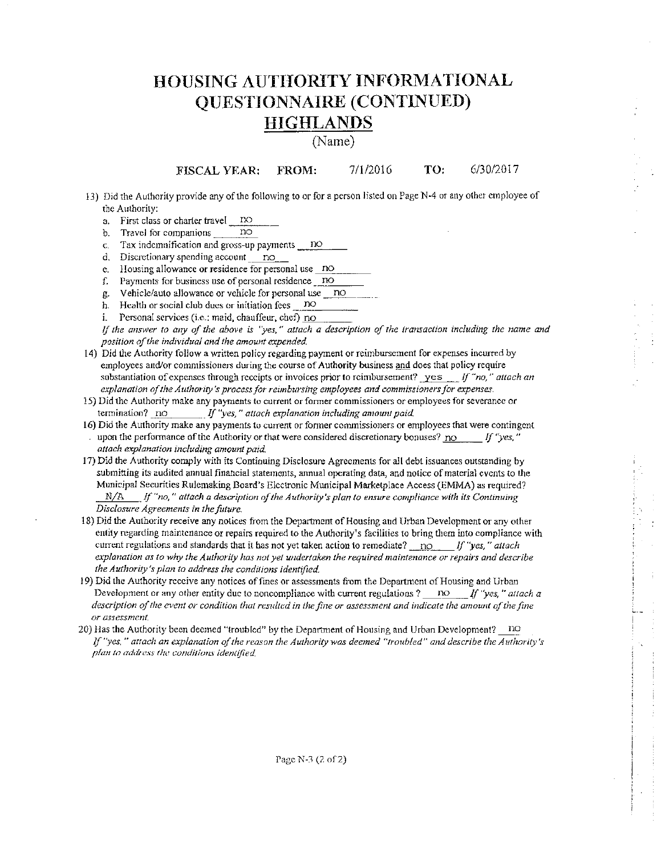# **HOUSING AUTHORITY INFORMATIONAL OUESTIONNAIRE (CONTINUED) HIGHLANDS**

(Name)

TO: 6/30/2017 FROM: 7/1/2016 **FISCAL YEAR:** 

- 13) Did the Authority provide any of the following to or for a person listed on Page N-4 or any other employee of the Authority:
	- a. First class or charter travel no  $\overline{p}$
	- b. Travel for companions
	- Tax indemnification and gross-up payments no  $\mathbf{C}$ .
	- d. Discretionary spending account no
	- e. Housing allowance or residence for personal use no
	- f. Payments for business use of personal residence no
	- g. Vehicle/auto allowance or vehicle for personal use no
	- h. Health or social club dues or initiation fees no
	- i. Personal services (i.e.: maid, chauffeur, chef) no

If the answer to any of the above is "yes," attach a description of the transaction including the name and position of the individual and the amount expended.

- 14) Did the Authority follow a written policy regarding payment or reimbursement for expenses incurred by employees and/or commissioners during the course of Authority business and does that policy require substantiation of expenses through receipts or invoices prior to reimbursement? yes  $\int f''$ no," attach an explanation of the Authority's process for reimbursing employees and commissioners for expenses.
- 15) Did the Authority make any payments to current or former commissioners or employees for severance or termination? no If "yes," attach explanation including amount paid.
- 16) Did the Authority make any payments to current or former commissioners or employees that were contingent upon the performance of the Authority or that were considered discretionary bonuses? no  $f'$  "yes," attach explanation including amount paid.
- 17) Did the Authority comply with its Continuing Disclosure Agreements for all debt issuances outstanding by submitting its audited annual financial statements, annual operating data, and notice of material events to the Municipal Securities Rulemaking Board's Electronic Municipal Marketplace Access (EMMA) as required?  $N/A$  If "no," attach a description of the Authority's plan to ensure compliance with its Continuing Disclosure Agreements in the future.
- 18) Did the Authority receive any notices from the Department of Housing and Urban Development or any other entity regarding maintenance or repairs required to the Authority's facilities to bring them into compliance with current regulations and standards that it has not yet taken action to remediate? no If "yes," attach explanation as to why the Authority has not yet undertaken the required maintenance or repairs and describe the Authority's plan to address the conditions identified.
- 19) Did the Authority receive any notices of fines or assessments from the Department of Housing and Urban Development or any other entity due to noncompliance with current regulations ? DO If "yes," attach a description of the event or condition that resulted in the fine or assessment and indicate the amount of the fine or assessment.
- 20) Has the Authority been deemed "troubled" by the Department of Housing and Urban Development? no If "yes," attach an explanation of the reason the Authority was deemed "troubled" and describe the Authority's plan to address the conditions identified.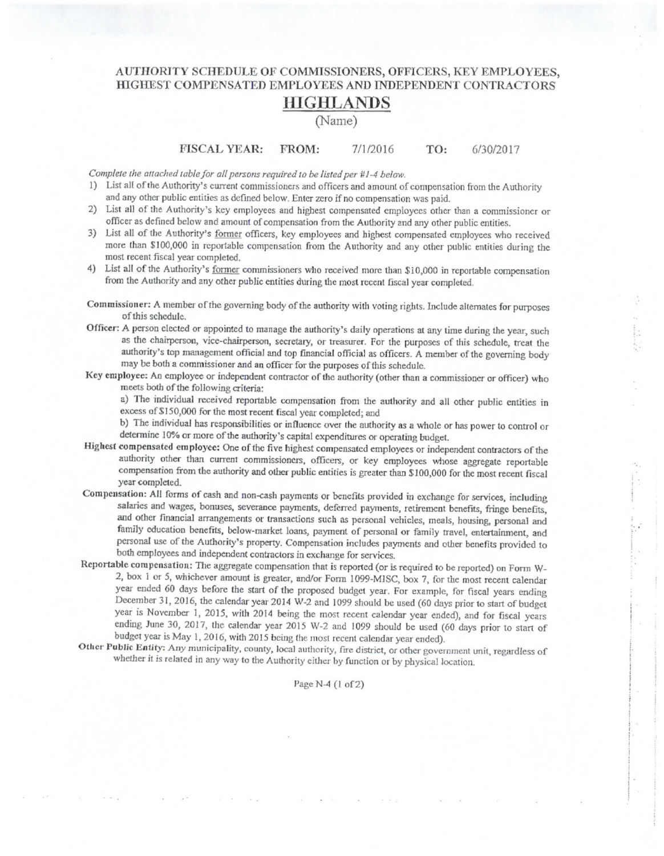# AUTHORITY SCHEDULE OF COMMISSIONERS, OFFICERS, KEY EMPLOYEES, HIGHEST COMPENSATED EMPLOYEES AND INDEPENDENT CONTRACTORS HIGHLANDS

### (Name)

**FISCAL YEAR:** FROM: 7/1/2016 TO: 6/30/2017

Complete the attached table for all persons required to be listed per #1-4 below.

- 1) List all of the Authority's current commissioners and officers and amount of compensation from the Authority and any other public entities as defined below. Enter zero if no compensation was paid.
- 2) List all of the Authority's key employees and highest compensated employees other than a commissioner or officer as defined below and amount of compensation from the Authority and any other public entities.
- 3) List all of the Authority's former officers, key employees and highest compensated employees who received more than \$100,000 in reportable compensation from the Authority and any other public entities during the most recent fiscal year completed.
- 4) List all of the Authority's former commissioners who received more than \$10,000 in reportable compensation from the Authority and any other public entities during the most recent fiscal year completed.
- Commissioner: A member of the governing body of the authority with voting rights. Include alternates for purposes of this schedule.
- Officer: A person clected or appointed to manage the authority's daily operations at any time during the year, such as the chairperson, vice-chairperson, secretary, or treasurer. For the purposes of this schedule, treat the authority's top management official and top financial official as officers. A member of the governing body may be both a commissioner and an officer for the purposes of this schedule.
- Key employee: An employee or independent contractor of the authority (other than a commissioner or officer) who meets both of the following criteria:

a) The individual received reportable compensation from the authority and all other public entities in excess of \$150,000 for the most recent fiscal year completed; and

b) The individual has responsibilities or influence over the authority as a whole or has power to control or determine 10% or more of the authority's capital expenditures or operating budget.

- Highest compensated employee: One of the five highest compensated employees or independent contractors of the authority other than current commissioners, officers, or key employees whose aggregate reportable compensation from the authority and other public entities is greater than \$100,000 for the most recent fiscal year completed.
- Compensation: All forms of cash and non-cash payments or benefits provided in exchange for services, including salaries and wages, bonuses, severance payments, deferred payments, retirement benefits, fringe benefits, and other financial arrangements or transactions such as personal vehicles, meals, housing, personal and family education benefits, below-market loans, payment of personal or family travel, entertainment, and personal use of the Authority's property. Compensation includes payments and other benefits provided to both employees and independent contractors in exchange for services.
- Reportable compensation: The aggregate compensation that is reported (or is required to be reported) on Form W-2, box 1 or 5, whichever amount is greater, and/or Form 1099-MISC, box 7, for the most recent calendar year ended 60 days before the start of the proposed budget year. For example, for fiscal years ending December 31, 2016, the calendar year 2014 W-2 and 1099 should be used (60 days prior to start of budget year is November 1, 2015, with 2014 being the most recent calendar year ended), and for fiscal years ending June 30, 2017, the calendar year 2015 W-2 and 1099 should be used (60 days prior to start of budget year is May 1, 2016, with 2015 being the most recent calendar year ended).
- Other Public Entity: Any municipality, county, local authority, fire district, or other government unit, regardless of whether it is related in any way to the Authority either by function or by physical location.

### Page N-4 (1 of 2)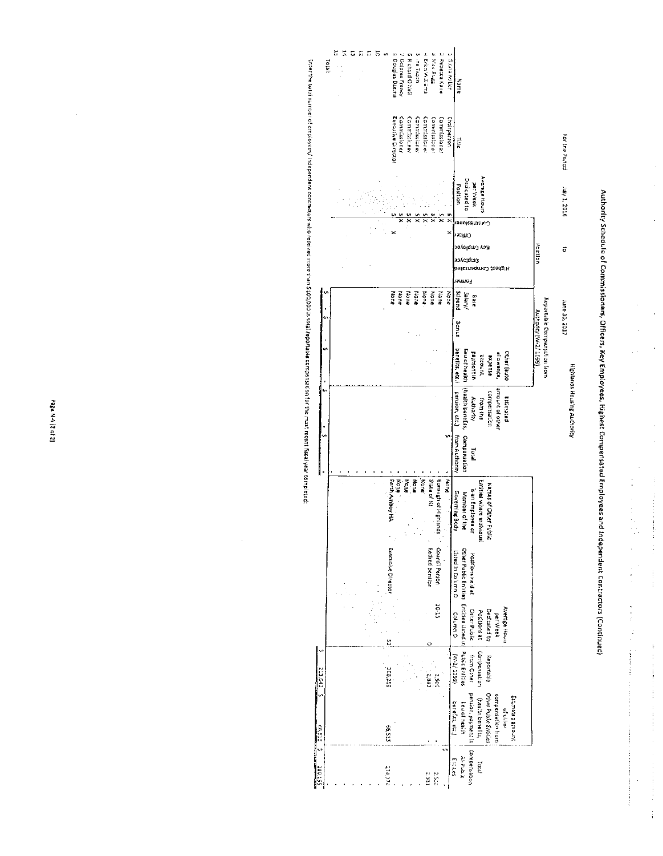

Authority Sciedule of Commissioners, Officers, Key Employees, Highest Compensated Employees and Independent Contractors (Continued)

 $\frac{1}{2}$ 

÷  $\hat{\boldsymbol{\epsilon}}$  ,

Ò,

 $\ddot{\cdot}$ 

 $\begin{array}{c}\n\hline\n\vdots \\
\hline\n\vdots\n\end{array}$ 

l.

 $\ddot{\cdot}$ 

ŧ

İ

ķ

 $\frac{1}{2}$ 

 $\ddot{\phantom{1}}$ 

Page N-4 (2 of 2)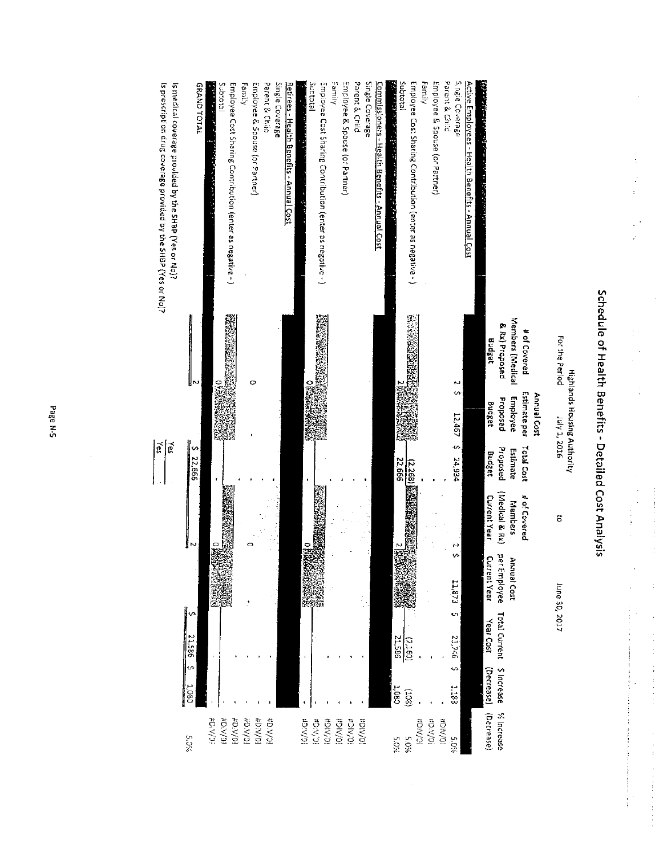| is medical coverage provided by the SHBP (Yes or No)?<br>Is prescription drug coverage provided by the SHBP (Yes or No)? | <b>GRANDTOTAL</b>      | Subtotal<br>Anticket in the second<br><b>PERSONAL PROPERTY</b> | Employee Cost Sharing Contribution (enter as negative - ) | Family         | Employee & Spouse (or Partner) | Parent & Child              | Single Coverage<br><u> Retirees - Health Benefits - Annual Cost</u> |                | Suptotal<br>Employee Cost Sharing Contribution (enter as negative - ) | Family | Employee & Spouse (or Partner) |                | Parent & Child<br>Single Coverage | Commissioners - Health Benefits - Annual Cost | وأشاره والمتواطئ والمراد وأرأت والمتقدمين والمتعاونة والمتواطئ المواطئ | letotdu?                      | Employee Cost Sharing Contribution (enter as negative - ) | Family        | Employee & Spouse (or Partner) | Parent & Child | S.ngie Coverage  | Active Employees - Health Benefits - Annual Cost |                  |                                                            |                              |                    |                                                      |
|--------------------------------------------------------------------------------------------------------------------------|------------------------|----------------------------------------------------------------|-----------------------------------------------------------|----------------|--------------------------------|-----------------------------|---------------------------------------------------------------------|----------------|-----------------------------------------------------------------------|--------|--------------------------------|----------------|-----------------------------------|-----------------------------------------------|------------------------------------------------------------------------|-------------------------------|-----------------------------------------------------------|---------------|--------------------------------|----------------|------------------|--------------------------------------------------|------------------|------------------------------------------------------------|------------------------------|--------------------|------------------------------------------------------|
|                                                                                                                          | ∥ຎ                     | 3340                                                           |                                                           |                | 0                              |                             |                                                                     |                | (全国通信管理)<br>点头等场<br>o<br>K                                            |        |                                |                |                                   |                                               |                                                                        | <b>Shirth Z</b><br>ch villet. | <b>MARKET STAR</b>                                        |               |                                |                | N<br>m<br>12,467 |                                                  | Budget<br>Budget | Members (Medical<br>& Rx) Proposed<br>Employee<br>Proposed | # of Covered<br>Estimate per | <b>Annual Cost</b> | For the Perlod<br><b>Highlands Housing Authority</b> |
| $\tilde{\mathfrak{g}}$<br>$\vec{B}$                                                                                      | 5.22,666               |                                                                |                                                           |                |                                |                             |                                                                     |                |                                                                       |        |                                |                |                                   |                                               |                                                                        | 22,666                        | (2,268) &                                                 |               |                                |                | ↭<br>24,934      |                                                  | Budget           | Proposed<br>Estimate                                       | Total Cost                   |                    | 14 1, 2016                                           |
|                                                                                                                          | Į<br>N                 |                                                                | <b>Architects</b>                                         |                | o                              |                             |                                                                     |                | <b>BY FREES FAST TO</b>                                               |        |                                |                |                                   |                                               |                                                                        | 不安地球                          |                                                           |               |                                |                | N                |                                                  | Current Year     | (Medical & Rx)<br>Members                                  | # of Covered                 |                    | õ                                                    |
|                                                                                                                          |                        |                                                                |                                                           |                |                                |                             |                                                                     | 就想。<br>医药物性尿   |                                                                       |        |                                |                |                                   |                                               |                                                                        | ◎ 2                           |                                                           |               |                                |                | ↭<br>11.873      |                                                  | Current Year     | per Employee<br>Annual Cost                                |                              |                    |                                                      |
|                                                                                                                          | w<br>21.586            |                                                                |                                                           |                |                                |                             |                                                                     | <b>I</b>       |                                                                       |        |                                |                |                                   |                                               | 21,586                                                                 | (2160)                        |                                                           |               |                                |                | CO.<br>23,746    |                                                  | Year Cost        | Total Current                                              |                              |                    | June 30, 2017                                        |
|                                                                                                                          | J.<br>180 <sup>1</sup> |                                                                |                                                           |                |                                |                             |                                                                     |                |                                                                       |        |                                |                |                                   |                                               | $\frac{1}{8}$                                                          | (80i)                         |                                                           |               |                                |                | ∽<br>3311        |                                                  | (Decrease)       | \$ Increase                                                |                              |                    |                                                      |
|                                                                                                                          | $5.0\%$                | <b>FDIVOR</b>                                                  | <b>IC/AID#</b><br>$10\,\mathrm{MeV}$                      | <b>ID/A'GB</b> | <b>ID/AIGH</b>                 | <b>iC/A</b> <sup>:</sup> G# |                                                                     | <b>IC/AiG#</b> | <b>IC/AIGH</b>                                                        | 10/MG# | <b>IO/AIG#</b>                 | <b>BOIV.01</b> | <b>HDIV/01</b>                    |                                               | 5.0%                                                                   | %0'S                          | <b>IC/MO#</b>                                             | <b>FOW/03</b> |                                | <b>NOIA</b>    | 5.0%             |                                                  | (Decrease)       | % Increase                                                 |                              |                    |                                                      |

# Schedule of Health Benefits - Detailed Cost Analysis

 $\frac{1}{2}$ 

 $\begin{array}{c} \frac{1}{2} \frac{1}{2} \frac{1}{2} \frac{1}{2} \frac{1}{2} \frac{1}{2} \frac{1}{2} \frac{1}{2} \frac{1}{2} \frac{1}{2} \frac{1}{2} \frac{1}{2} \frac{1}{2} \frac{1}{2} \frac{1}{2} \frac{1}{2} \frac{1}{2} \frac{1}{2} \frac{1}{2} \frac{1}{2} \frac{1}{2} \frac{1}{2} \frac{1}{2} \frac{1}{2} \frac{1}{2} \frac{1}{2} \frac{1}{2} \frac{1}{2} \frac{1}{2} \frac{1}{2} \frac{$ 

 $\frac{1}{2}$ 

 $\frac{1}{\sqrt{2}}$ 

 $\mathcal{L}_{\text{max}}$  is a set of the contract of the set of the set of the set of the set of the set of the set of the set of the set of the set of the set of the set of the set of the set of the set of the set of the set of the

化二甲基苯甲基苯甲基苯甲基苯甲基苯甲基

 $\frac{1}{\sqrt{2}}$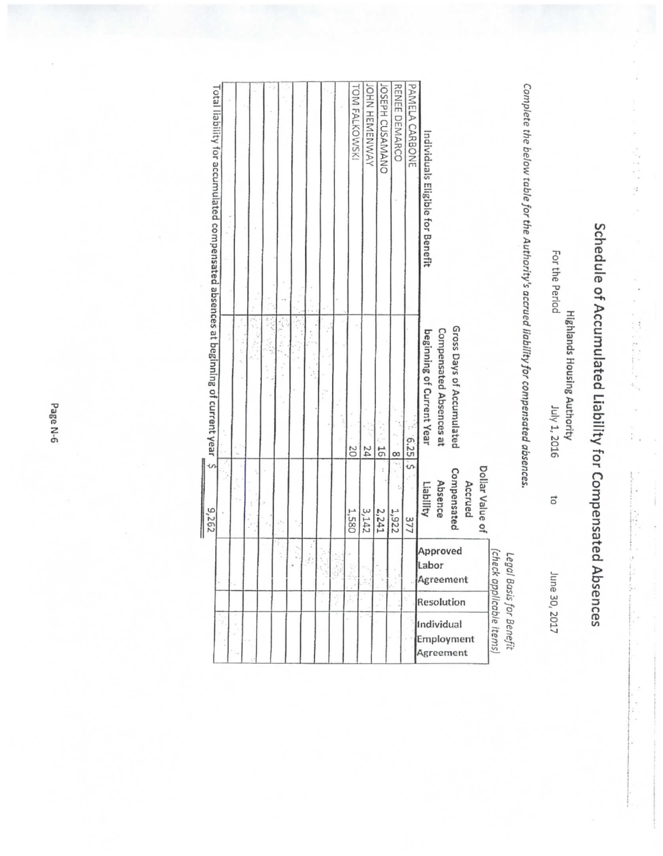| Total liability for accumulated compensated absences at beginning of current year $\;$ \$<br>9,262 |  |  |  |  |  | TOM FALKOWSKI<br>20<br>1,580 | JOHN HEMENWAY<br>24<br>3,142 | JOSEPH CUSAMANO<br>$\overline{5}$<br>2,241 | RENEE DEMARCO<br>$\frac{8}{2}$<br>1,922 | PAMELA CARBONE<br>225<br>377 | Complete the below table for the Authority's accrued liability for compensated absences.<br>Individuals Eligible for Benefit<br>For the Period<br>Gross Days of Accumulated<br>Compensated Absences at<br>beginning of Current Year<br>July 1, 2016<br>Dollar Value of<br>Compensated<br>Absence<br>Accrued<br>Liabillty<br>5<br>Approved<br>(check applicable items)<br>Legal<br>Labor<br>June 30, 2017<br>Agreement<br>Basis for Benefit<br>Resolution |
|----------------------------------------------------------------------------------------------------|--|--|--|--|--|------------------------------|------------------------------|--------------------------------------------|-----------------------------------------|------------------------------|----------------------------------------------------------------------------------------------------------------------------------------------------------------------------------------------------------------------------------------------------------------------------------------------------------------------------------------------------------------------------------------------------------------------------------------------------------|
|                                                                                                    |  |  |  |  |  |                              |                              |                                            |                                         |                              |                                                                                                                                                                                                                                                                                                                                                                                                                                                          |
|                                                                                                    |  |  |  |  |  |                              |                              |                                            |                                         |                              | Individual                                                                                                                                                                                                                                                                                                                                                                                                                                               |
|                                                                                                    |  |  |  |  |  |                              |                              |                                            |                                         |                              | Employment<br>Agreement                                                                                                                                                                                                                                                                                                                                                                                                                                  |

 $\label{eq:2.1} \mathcal{S} = \mathcal{S} \times \mathcal{S} \times \mathcal{S} \times \mathcal{S} \times \mathcal{S} \times \mathcal{S} \times \mathcal{S} \times \mathcal{S} \times \mathcal{S} \times \mathcal{S} \times \mathcal{S} \times \mathcal{S} \times \mathcal{S} \times \mathcal{S} \times \mathcal{S} \times \mathcal{S} \times \mathcal{S} \times \mathcal{S} \times \mathcal{S} \times \mathcal{S} \times \mathcal{S} \times \mathcal{S} \times \mathcal{S} \times \mathcal{S} \times \mathcal{S} \times \mathcal{$ 

 $\frac{1}{2}$ 

 $\frac{1}{2}$ 

ź  $\left\langle \cdot \right\rangle$  Î

Schedule of Accumulated Liability for Compensated Absences

Page N-6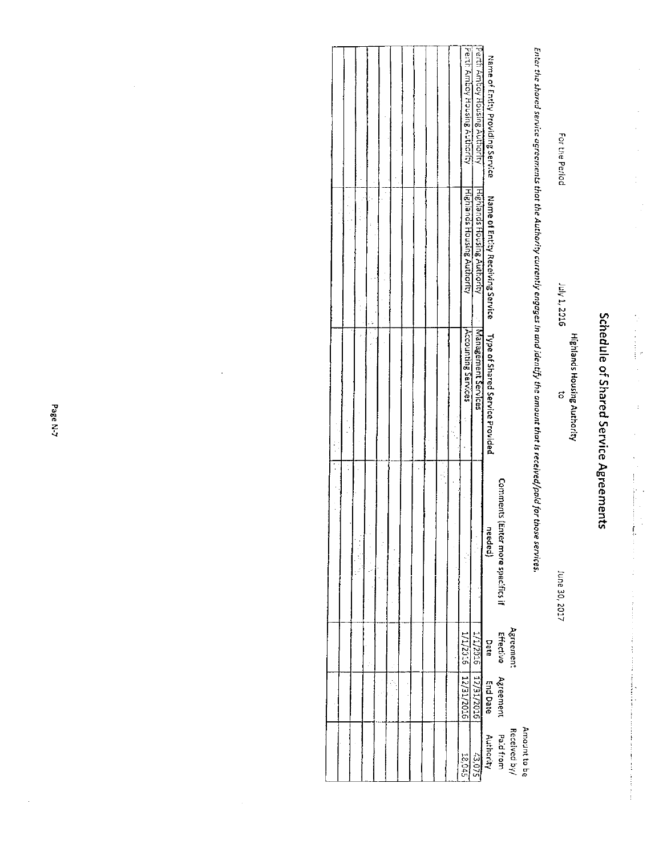Schedule of Shared Service Agreements

 $\frac{1}{2}$ 

 $\frac{1}{2}$ 

J.

 $\mathcal{L}_{\mathcal{A}}$  , which is a set of the set of the set of the set of the set of the set of the set of the set of the set of the set of the set of the set of the set of the set of the set of the set of the set of the set of

**Highlands Housing Authority** 

 $\sigma$ 

Iune 30, 2017

Enter the shared service agreements that the Authority currently engages in and identify the amount that is received/pald for those services.

July 1, 2016

For the Period

| 18,045                    | 1/1/2016   12/31/2016 |           |                                   | Accounting Services | Highlands Housing Authority                                      | Perth Amboy Housing Authority    |
|---------------------------|-----------------------|-----------|-----------------------------------|---------------------|------------------------------------------------------------------|----------------------------------|
| 570.57                    | T/17356   17/31/2016  |           |                                   | Management Services | Highlands Housing Authority                                      | Perti Amboy Housing Authority    |
| <b>Authority</b>          | <b>End Date</b>       | Date      | needed)                           |                     | Name of Entity Receiving Service Type of Shared Service Provided | Name of Entity Providing Service |
| Paid from<br>Received by/ | Effective Agreement   | Agreement | Comments (Enter more specifics if |                     |                                                                  |                                  |
| Amount to be              |                       |           |                                   |                     |                                                                  |                                  |

 $\ddot{\phantom{0}}$ 

 $\frac{1}{2}$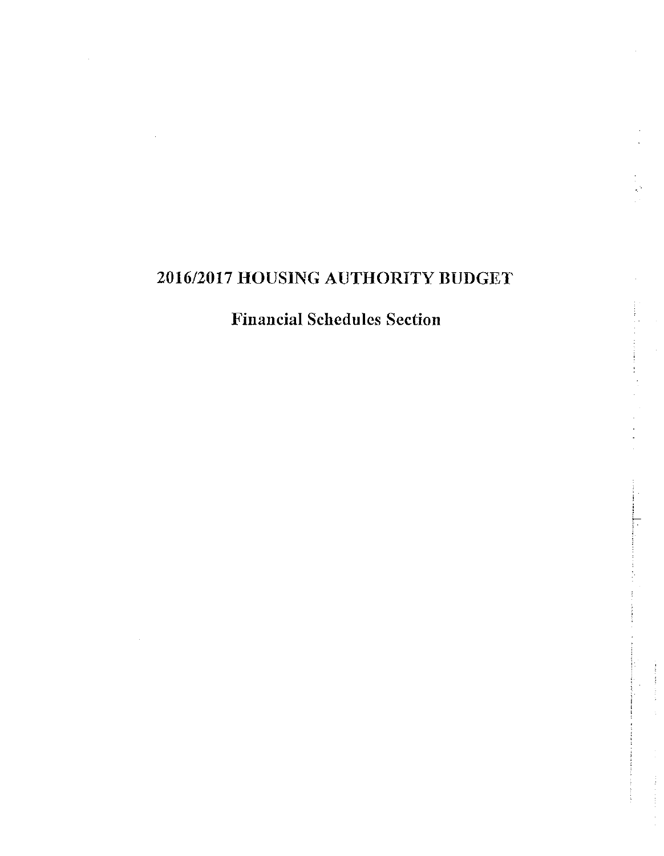# 2016/2017 HOUSING AUTHORITY BUDGET

# Financial Schedulcs Section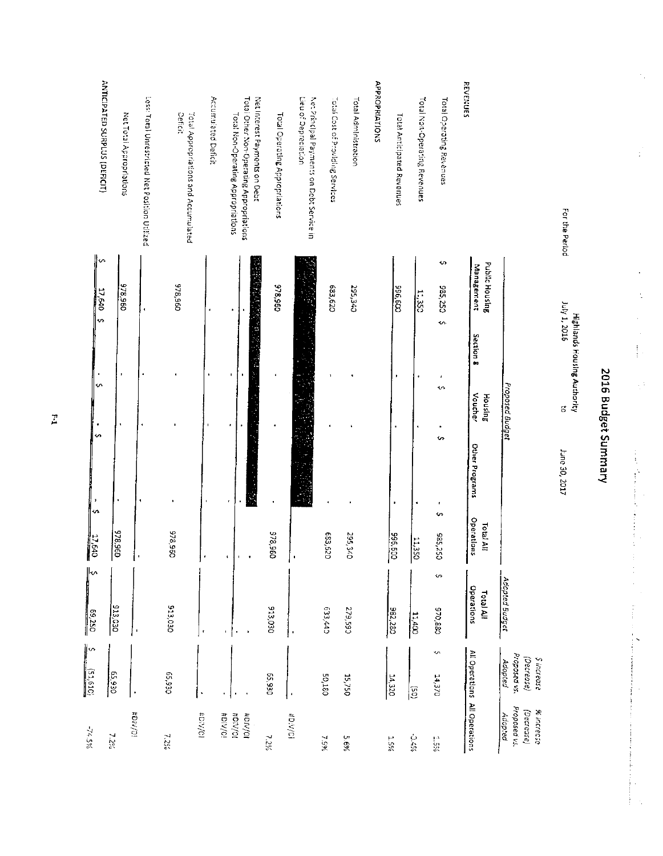| $76.5\%$                                            | ∣∽<br>(51.61C)                                       | ⊩∽<br>H<br>69,250              | 17,640                         |                        |                           |                                            |                              |                                                                                |
|-----------------------------------------------------|------------------------------------------------------|--------------------------------|--------------------------------|------------------------|---------------------------|--------------------------------------------|------------------------------|--------------------------------------------------------------------------------|
|                                                     |                                                      |                                |                                | <b>S</b><br>J.<br>l en | $\bullet$<br>$\mathbf{v}$ |                                            | s<br>17,640<br><sub>n</sub>  | ANTICIPATED SURPLUS (DEFICIT)                                                  |
| 7.2%                                                | 65,930                                               | 913,030                        | 096'816                        |                        |                           |                                            |                              |                                                                                |
| <b>EDIV/OR</b>                                      |                                                      | $\blacksquare$                 |                                |                        |                           |                                            | 096'826                      | Net Total Appropriations                                                       |
|                                                     |                                                      |                                |                                |                        |                           |                                            |                              | Less: Total Unrestricted Net Position Utilized                                 |
| 7.2%                                                | 02.930                                               | 513,030                        | 378,960                        |                        |                           |                                            | 096'846                      | Deficit<br>Total Appropriations and Accumulated                                |
| #DiV/CI                                             |                                                      | $\pmb{\mathfrak{r}}$           |                                |                        | ×                         |                                            |                              | Accumulated Deficit                                                            |
| #DIV/0                                              |                                                      |                                |                                |                        | ,                         |                                            |                              |                                                                                |
| <b>BDIVOL</b><br><b>HOIV/OI</b>                     | $\bullet$                                            |                                |                                |                        |                           |                                            |                              | Total Other Non-Operating Appropriations<br>Total Non-Operating Appropriations |
| 7.2%                                                | 02.930                                               | 913,030                        | 096'826                        |                        |                           |                                            | 978,960                      | Net Interest Payments on Debt<br>Total Operating Appropriations                |
| <b>10/A/O#</b>                                      |                                                      |                                | $\cdot$                        |                        |                           |                                            |                              | Lieu of Depreciation<br>Net Principal Payments on Debt Service in              |
| 1.54                                                | <b>50,180</b>                                        | C47569                         | 029'239                        |                        |                           |                                            | 683,620                      | Total Cost of Providing Services                                               |
| 5.6%                                                | 15,750                                               | C65'62                         | <b>022,340</b>                 |                        |                           |                                            | <b>CDE'S62</b>               | Total Administration                                                           |
|                                                     |                                                      |                                |                                |                        |                           |                                            |                              | APPROPRIATIONS                                                                 |
| %ST                                                 | 14,320                                               | 982.280                        | 996,600                        | ٠                      | ٠                         |                                            | 009'956                      | <b>Total Anticipated Revenues</b>                                              |
| %7C-                                                | $\overline{c}$                                       | 11,400                         | 11,350                         |                        |                           |                                            | 1.350                        | Total Non-Operating Revenues                                                   |
| RSC <sup>1</sup>                                    | ∽<br>14,370                                          | $\ddot{\mathbf{v}}$<br>038,078 | $\cdot$<br>085,250             | s<br>¢                 | ı<br>$\sim$               | <b>s</b>                                   | S<br><b>585,250</b>          | Total Operating Revenues                                                       |
|                                                     | All Operations All Operations                        | Operations<br>Total All        | <b>Operations</b><br>Total All | Other Programs         | Voucher<br>Housing        | Section 8                                  | Public Housing<br>Management | REVENUES                                                                       |
| Proposed vs.<br>(Decrease)<br>% increase<br>Adopted | Proposed vs.<br>(Decrease)<br>\$ increase<br>Adopted | Adopted Budget                 |                                |                        | Proposed Budget           |                                            |                              |                                                                                |
|                                                     |                                                      |                                |                                | June 30, 2017          | 5                         | 3102 't And<br>Highlands Housing Authority |                              | For the Period                                                                 |
|                                                     |                                                      |                                |                                |                        | 2016 Budget Summary       |                                            |                              |                                                                                |

 $\mathbf{r}$ 

 $\begin{array}{c} \frac{1}{2} \\ \frac{1}{2} \end{array}$ 

 $\ddot{\phantom{a}}$ İ

 $\mathbf{i}$ 

 $\hat{\epsilon}$ 

 $\frac{1}{2}$ 

 $\ddot{\phantom{a}}$ 

 $\begin{array}{c} \rule{0pt}{2.5ex} \rule{0pt}{2.5ex} \rule{0pt}{2.5ex} \rule{0pt}{2.5ex} \rule{0pt}{2.5ex} \rule{0pt}{2.5ex} \rule{0pt}{2.5ex} \rule{0pt}{2.5ex} \rule{0pt}{2.5ex} \rule{0pt}{2.5ex} \rule{0pt}{2.5ex} \rule{0pt}{2.5ex} \rule{0pt}{2.5ex} \rule{0pt}{2.5ex} \rule{0pt}{2.5ex} \rule{0pt}{2.5ex} \rule{0pt}{2.5ex} \rule{0pt}{2.5ex} \rule{0pt}{2.5ex} \rule{0$ 

 $\frac{1}{2}$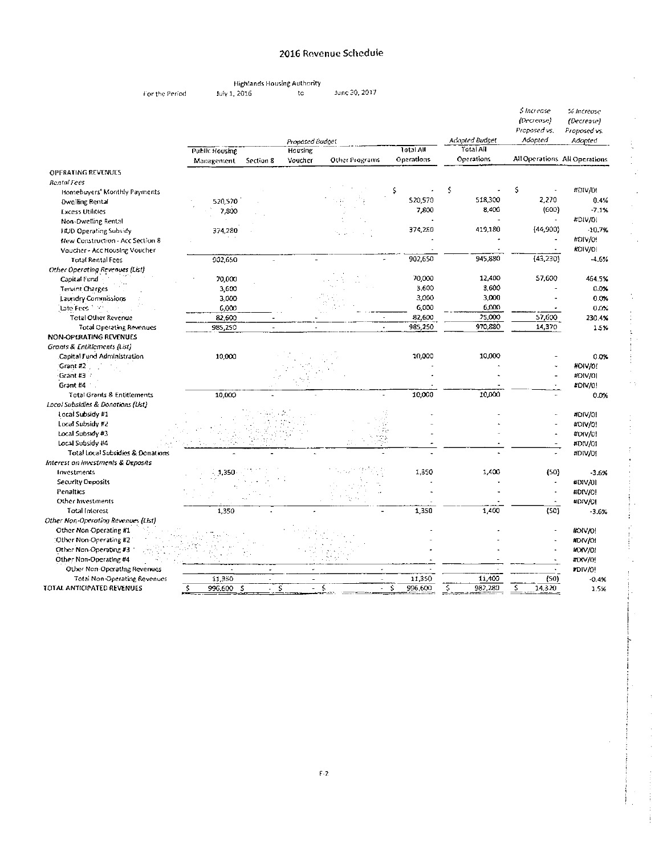### 2016 Revenue Schedule

**Highlands Housing Authority** 

For the Period

July 1, 2016

June 30, 2017  $to$ 

|                                            |                  |                          | Proposed Budget |                          |                  | Adopted Budget    | s Increase<br>(Decrease)<br>Proposed vs.<br>Adopted | X increase<br>(Decrease)<br>Proposed vs.<br>Adopted |
|--------------------------------------------|------------------|--------------------------|-----------------|--------------------------|------------------|-------------------|-----------------------------------------------------|-----------------------------------------------------|
|                                            | Public Housing   |                          | Housing         |                          | <b>Total All</b> | <b>Total Ail</b>  |                                                     |                                                     |
|                                            | Management       | Section 8                | Voucher         | Other Programs           | Operations       | <b>Operations</b> |                                                     | All Operations All Operations                       |
| <b>OPFRATING REVENUES</b>                  |                  |                          |                 |                          |                  |                   |                                                     |                                                     |
| <b>Rental Fees</b>                         |                  |                          |                 |                          |                  |                   |                                                     |                                                     |
| Homebuyers' Monthly Payments               |                  |                          |                 |                          | \$               | Ś                 | \$                                                  | #DIV/0!                                             |
| <b>Dwelling Rental</b>                     | 520,570          |                          |                 |                          | \$20,570         | 518,300           | 2,270                                               | 0.4%                                                |
| <b>Excess Utilities</b>                    | 7.800            |                          |                 |                          | 7,800            | 8,400             | (600)                                               | $-7.1%$                                             |
| Non-Dwetting Rental                        |                  |                          |                 |                          |                  |                   |                                                     | #DIV/01                                             |
| <b>HOD Operating Subsidy</b>               | 374,280          |                          |                 |                          | 374,280          | 419,180           | (44,900)                                            | $-10.7%$                                            |
| New Construction - Acc Section 8           |                  |                          |                 |                          |                  |                   |                                                     | #DIV/0!                                             |
| Voucher - Acc Housing Voucher              |                  |                          |                 |                          |                  |                   |                                                     | KOIV/0!                                             |
| <b>Total Rental Fees</b>                   | 902,650          |                          |                 |                          | 902,650          | 945,830           | (43,230)                                            | $-4.0%$                                             |
| Other Operating Revenues (List)            |                  |                          |                 |                          |                  |                   |                                                     |                                                     |
| Capital Fund                               | 70,000           |                          |                 |                          | 70,000           | 12,400            | 57,600                                              | 464.5%                                              |
| Tenant Charges                             | 3,600            |                          |                 |                          | 3,600            | 3,600             |                                                     | 0.0%                                                |
| Laundry Commissions                        | 3,000            |                          |                 |                          | 3,000            | 3,000             |                                                     | 0.0%                                                |
| Late Fees                                  | 6,000            |                          |                 |                          | 6,000            | 6,000             |                                                     | 0.75                                                |
| <b>Total Other Revenue</b>                 | 82,600           |                          |                 |                          | 82,600           | 25,000            | 57,600                                              | 230.4%                                              |
| <b>Total Operating Revenues</b>            | 985,250          |                          |                 | $\overline{\phantom{a}}$ | 985,250          | 970,880           | 14,370                                              | 1.5%                                                |
| <b>NON-OPERATING REVENUES</b>              |                  |                          |                 |                          |                  |                   |                                                     |                                                     |
| Grants & Entitlements (List)               |                  |                          |                 |                          |                  |                   |                                                     |                                                     |
| Capital Fund Administration                | 10,000           |                          |                 |                          | 10,000           | 10,000            |                                                     | 0.0%                                                |
| Grant #2                                   |                  |                          |                 |                          |                  |                   |                                                     | HOIV/0!                                             |
| Grant #3                                   |                  |                          |                 |                          |                  |                   |                                                     | #DIV/01                                             |
| Grant #4                                   |                  |                          |                 |                          |                  |                   |                                                     | #DIV/0!                                             |
| <b>Total Grants &amp; Entitlements</b>     | 10,000           |                          |                 |                          | 10,000           | 10,000            |                                                     | 0.0%                                                |
| Local Subsidies & Donations (Ust)          |                  |                          |                 |                          |                  |                   |                                                     |                                                     |
| Local Subsidy #1                           |                  |                          |                 |                          |                  |                   |                                                     | #DIV/01                                             |
| Local Subsidy #2                           |                  |                          |                 |                          |                  |                   |                                                     | #DIV/0!                                             |
| Local Subsidy #3                           |                  |                          |                 |                          |                  |                   |                                                     | #DIV/01                                             |
| Local Subsidy #4                           |                  |                          |                 |                          |                  |                   |                                                     | #DIV/01                                             |
| Total Local Subsidies & Donations          |                  |                          |                 |                          |                  |                   |                                                     | #DIV/0!                                             |
| Interest on Investments & Deposits         |                  |                          |                 |                          |                  |                   |                                                     |                                                     |
| Investments                                | 1,350            |                          |                 |                          | 1,350            | 1,400             | (50)                                                | 3.6%                                                |
| Security Deposits                          |                  |                          |                 |                          |                  |                   | $\overline{a}$                                      | #DIV/01                                             |
| Penalties                                  |                  |                          |                 |                          |                  |                   |                                                     | #DIV/0!                                             |
| Other Investments<br><b>Total Interest</b> | 1,350            |                          |                 |                          | 1,350            | 1,400             | (50)                                                | #DIV/01                                             |
| Other Non-Operating Revenues (List)        |                  |                          |                 |                          |                  |                   |                                                     | 3.6%                                                |
| Other Non Operating #1                     |                  |                          |                 |                          |                  |                   |                                                     | #DIV/0!                                             |
| Other Non-Operating #2                     |                  |                          |                 |                          |                  |                   |                                                     |                                                     |
| Other Non-Operating #3                     |                  |                          |                 |                          |                  |                   |                                                     | #DIV/01<br>HOIV/01                                  |
| Other Non-Operating #4                     |                  |                          |                 |                          |                  |                   |                                                     | #DIV/0!                                             |
| Other Non-Operating Revenues               |                  |                          |                 | $\bullet$                |                  |                   |                                                     | #DIV/0!                                             |
| <b>Total Non-Operating Revenues</b>        | 11,350           | $\overline{\phantom{a}}$ | $\blacksquare$  | $\sim$                   | 11,350           | 11,400            | (SO)                                                | $-0.4%$                                             |
| IOTAL ANTICIPATED REVENUES                 | \$<br>996,600 \$ | Ş                        | $\blacksquare$  | \$<br>$\blacksquare$     | \$<br>996,600    | \$<br>982,280     | \$<br>14,320                                        | 1.5%                                                |
|                                            |                  |                          |                 |                          |                  |                   |                                                     |                                                     |

l,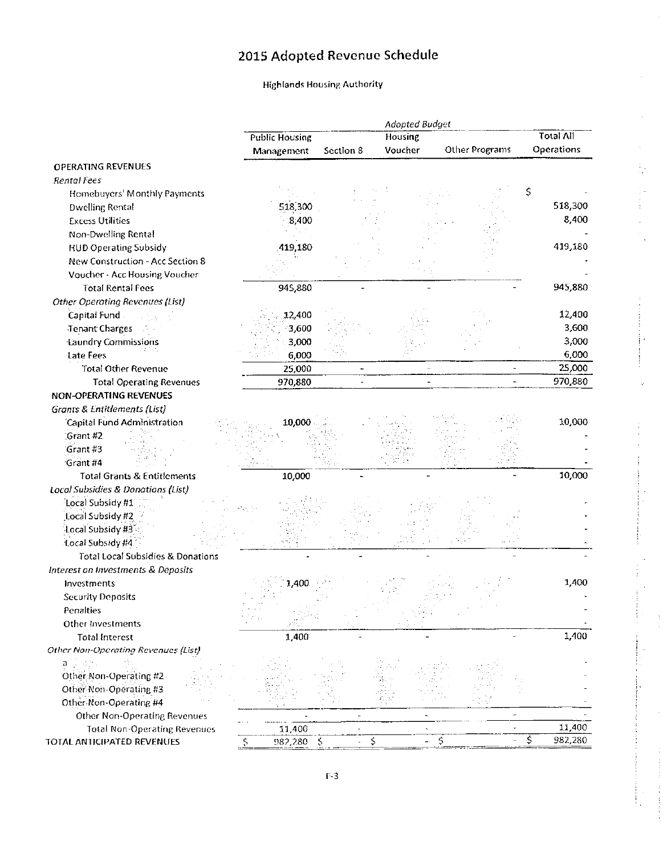# 2015 Adopted Revenue Schedule

# **Highlands Housing Authority**

| <b>Total All</b><br>Housing<br><b>Public Housing</b><br>Operations<br>Voucher<br>Other Programs<br>Section 8<br>Management<br><b>OPERATING REVENUES</b><br>Rental Fees<br>\$<br>Homebuyers' Monthly Payments<br>518,300<br>518,300<br><b>Dwelling Rental</b><br>8,400<br>8,400<br><b>Excess Utilities</b><br>Non-Dwelling Rental<br>419,180<br>419,180<br><b>HUD Operating Subsidy</b><br>New Construction - Acc Section 8<br>Voucher - Acc Housing Voucher<br>945,880<br><b>Total Rental Fees</b><br>945,880<br><b>Other Operating Revenues (List)</b><br>12,400<br>Capital Fund<br>12,400<br>3,600<br><b>Tenant Charges</b><br>$-3,600$<br>3,000<br>Laundry Commissions<br>3,000<br>6,000<br><b>Late Fees</b><br>6,000<br>25,000<br><b>Total Other Revenue</b><br>25,000<br>$\ddot{\phantom{0}}$<br>970,880<br><b>Total Operating Revenues</b><br>970,880<br><b>NON-OPERATING REVENUES</b><br><b>Grants &amp; Entitlements (List)</b><br>10,000<br>'Capital Fund Administration<br>10,000<br>Grant #2<br>Grant #3<br>Grant #4<br>10,000<br><b>Total Grants &amp; Entitlements</b><br>10,000<br>Local Subsidies & Donations (List)<br>Local Subsidy #1<br>Local Subsidy #2<br>Local Subsidy #3<br>Local Subsidy #4<br><b>Total Local Subsidies &amp; Donations</b><br>Interest on Investments & Deposits<br>1,400<br>1,400<br>Investments<br><b>Security Deposits</b><br>Penalties<br>Other Investments<br>ja Stur<br>1,400<br>1,400<br><b>Total Interest</b><br>Other Non-Operating Revenues (List)<br>Other Non-Operating #2<br>Other Non-Operating #3<br>Other Non-Operating #4<br><b>Other Non-Operating Revenues</b><br>$\overline{\phantom{a}}$<br>11,400<br><b>Total Non-Operating Revenues</b><br>11,400<br>$\zeta$<br>982,280 \$<br>$\overline{\phantom{a}}$<br>$\overline{\phantom{a}}$ |                            |  | Adopted Budget |                     |
|----------------------------------------------------------------------------------------------------------------------------------------------------------------------------------------------------------------------------------------------------------------------------------------------------------------------------------------------------------------------------------------------------------------------------------------------------------------------------------------------------------------------------------------------------------------------------------------------------------------------------------------------------------------------------------------------------------------------------------------------------------------------------------------------------------------------------------------------------------------------------------------------------------------------------------------------------------------------------------------------------------------------------------------------------------------------------------------------------------------------------------------------------------------------------------------------------------------------------------------------------------------------------------------------------------------------------------------------------------------------------------------------------------------------------------------------------------------------------------------------------------------------------------------------------------------------------------------------------------------------------------------------------------------------------------------------------------------------------------------------------------------------------------------------------|----------------------------|--|----------------|---------------------|
|                                                                                                                                                                                                                                                                                                                                                                                                                                                                                                                                                                                                                                                                                                                                                                                                                                                                                                                                                                                                                                                                                                                                                                                                                                                                                                                                                                                                                                                                                                                                                                                                                                                                                                                                                                                                    |                            |  |                |                     |
|                                                                                                                                                                                                                                                                                                                                                                                                                                                                                                                                                                                                                                                                                                                                                                                                                                                                                                                                                                                                                                                                                                                                                                                                                                                                                                                                                                                                                                                                                                                                                                                                                                                                                                                                                                                                    |                            |  |                |                     |
|                                                                                                                                                                                                                                                                                                                                                                                                                                                                                                                                                                                                                                                                                                                                                                                                                                                                                                                                                                                                                                                                                                                                                                                                                                                                                                                                                                                                                                                                                                                                                                                                                                                                                                                                                                                                    |                            |  |                |                     |
|                                                                                                                                                                                                                                                                                                                                                                                                                                                                                                                                                                                                                                                                                                                                                                                                                                                                                                                                                                                                                                                                                                                                                                                                                                                                                                                                                                                                                                                                                                                                                                                                                                                                                                                                                                                                    |                            |  |                |                     |
|                                                                                                                                                                                                                                                                                                                                                                                                                                                                                                                                                                                                                                                                                                                                                                                                                                                                                                                                                                                                                                                                                                                                                                                                                                                                                                                                                                                                                                                                                                                                                                                                                                                                                                                                                                                                    |                            |  |                |                     |
|                                                                                                                                                                                                                                                                                                                                                                                                                                                                                                                                                                                                                                                                                                                                                                                                                                                                                                                                                                                                                                                                                                                                                                                                                                                                                                                                                                                                                                                                                                                                                                                                                                                                                                                                                                                                    |                            |  |                |                     |
|                                                                                                                                                                                                                                                                                                                                                                                                                                                                                                                                                                                                                                                                                                                                                                                                                                                                                                                                                                                                                                                                                                                                                                                                                                                                                                                                                                                                                                                                                                                                                                                                                                                                                                                                                                                                    |                            |  |                |                     |
|                                                                                                                                                                                                                                                                                                                                                                                                                                                                                                                                                                                                                                                                                                                                                                                                                                                                                                                                                                                                                                                                                                                                                                                                                                                                                                                                                                                                                                                                                                                                                                                                                                                                                                                                                                                                    |                            |  |                |                     |
|                                                                                                                                                                                                                                                                                                                                                                                                                                                                                                                                                                                                                                                                                                                                                                                                                                                                                                                                                                                                                                                                                                                                                                                                                                                                                                                                                                                                                                                                                                                                                                                                                                                                                                                                                                                                    |                            |  |                |                     |
|                                                                                                                                                                                                                                                                                                                                                                                                                                                                                                                                                                                                                                                                                                                                                                                                                                                                                                                                                                                                                                                                                                                                                                                                                                                                                                                                                                                                                                                                                                                                                                                                                                                                                                                                                                                                    |                            |  |                |                     |
|                                                                                                                                                                                                                                                                                                                                                                                                                                                                                                                                                                                                                                                                                                                                                                                                                                                                                                                                                                                                                                                                                                                                                                                                                                                                                                                                                                                                                                                                                                                                                                                                                                                                                                                                                                                                    |                            |  |                |                     |
|                                                                                                                                                                                                                                                                                                                                                                                                                                                                                                                                                                                                                                                                                                                                                                                                                                                                                                                                                                                                                                                                                                                                                                                                                                                                                                                                                                                                                                                                                                                                                                                                                                                                                                                                                                                                    |                            |  |                |                     |
|                                                                                                                                                                                                                                                                                                                                                                                                                                                                                                                                                                                                                                                                                                                                                                                                                                                                                                                                                                                                                                                                                                                                                                                                                                                                                                                                                                                                                                                                                                                                                                                                                                                                                                                                                                                                    |                            |  |                |                     |
|                                                                                                                                                                                                                                                                                                                                                                                                                                                                                                                                                                                                                                                                                                                                                                                                                                                                                                                                                                                                                                                                                                                                                                                                                                                                                                                                                                                                                                                                                                                                                                                                                                                                                                                                                                                                    |                            |  |                |                     |
|                                                                                                                                                                                                                                                                                                                                                                                                                                                                                                                                                                                                                                                                                                                                                                                                                                                                                                                                                                                                                                                                                                                                                                                                                                                                                                                                                                                                                                                                                                                                                                                                                                                                                                                                                                                                    |                            |  |                |                     |
|                                                                                                                                                                                                                                                                                                                                                                                                                                                                                                                                                                                                                                                                                                                                                                                                                                                                                                                                                                                                                                                                                                                                                                                                                                                                                                                                                                                                                                                                                                                                                                                                                                                                                                                                                                                                    |                            |  |                |                     |
|                                                                                                                                                                                                                                                                                                                                                                                                                                                                                                                                                                                                                                                                                                                                                                                                                                                                                                                                                                                                                                                                                                                                                                                                                                                                                                                                                                                                                                                                                                                                                                                                                                                                                                                                                                                                    |                            |  |                |                     |
|                                                                                                                                                                                                                                                                                                                                                                                                                                                                                                                                                                                                                                                                                                                                                                                                                                                                                                                                                                                                                                                                                                                                                                                                                                                                                                                                                                                                                                                                                                                                                                                                                                                                                                                                                                                                    |                            |  |                |                     |
|                                                                                                                                                                                                                                                                                                                                                                                                                                                                                                                                                                                                                                                                                                                                                                                                                                                                                                                                                                                                                                                                                                                                                                                                                                                                                                                                                                                                                                                                                                                                                                                                                                                                                                                                                                                                    |                            |  |                |                     |
|                                                                                                                                                                                                                                                                                                                                                                                                                                                                                                                                                                                                                                                                                                                                                                                                                                                                                                                                                                                                                                                                                                                                                                                                                                                                                                                                                                                                                                                                                                                                                                                                                                                                                                                                                                                                    |                            |  |                |                     |
|                                                                                                                                                                                                                                                                                                                                                                                                                                                                                                                                                                                                                                                                                                                                                                                                                                                                                                                                                                                                                                                                                                                                                                                                                                                                                                                                                                                                                                                                                                                                                                                                                                                                                                                                                                                                    |                            |  |                |                     |
|                                                                                                                                                                                                                                                                                                                                                                                                                                                                                                                                                                                                                                                                                                                                                                                                                                                                                                                                                                                                                                                                                                                                                                                                                                                                                                                                                                                                                                                                                                                                                                                                                                                                                                                                                                                                    |                            |  |                |                     |
|                                                                                                                                                                                                                                                                                                                                                                                                                                                                                                                                                                                                                                                                                                                                                                                                                                                                                                                                                                                                                                                                                                                                                                                                                                                                                                                                                                                                                                                                                                                                                                                                                                                                                                                                                                                                    |                            |  |                |                     |
|                                                                                                                                                                                                                                                                                                                                                                                                                                                                                                                                                                                                                                                                                                                                                                                                                                                                                                                                                                                                                                                                                                                                                                                                                                                                                                                                                                                                                                                                                                                                                                                                                                                                                                                                                                                                    |                            |  |                |                     |
|                                                                                                                                                                                                                                                                                                                                                                                                                                                                                                                                                                                                                                                                                                                                                                                                                                                                                                                                                                                                                                                                                                                                                                                                                                                                                                                                                                                                                                                                                                                                                                                                                                                                                                                                                                                                    |                            |  |                |                     |
|                                                                                                                                                                                                                                                                                                                                                                                                                                                                                                                                                                                                                                                                                                                                                                                                                                                                                                                                                                                                                                                                                                                                                                                                                                                                                                                                                                                                                                                                                                                                                                                                                                                                                                                                                                                                    |                            |  |                |                     |
|                                                                                                                                                                                                                                                                                                                                                                                                                                                                                                                                                                                                                                                                                                                                                                                                                                                                                                                                                                                                                                                                                                                                                                                                                                                                                                                                                                                                                                                                                                                                                                                                                                                                                                                                                                                                    |                            |  |                |                     |
|                                                                                                                                                                                                                                                                                                                                                                                                                                                                                                                                                                                                                                                                                                                                                                                                                                                                                                                                                                                                                                                                                                                                                                                                                                                                                                                                                                                                                                                                                                                                                                                                                                                                                                                                                                                                    |                            |  |                |                     |
|                                                                                                                                                                                                                                                                                                                                                                                                                                                                                                                                                                                                                                                                                                                                                                                                                                                                                                                                                                                                                                                                                                                                                                                                                                                                                                                                                                                                                                                                                                                                                                                                                                                                                                                                                                                                    |                            |  |                |                     |
|                                                                                                                                                                                                                                                                                                                                                                                                                                                                                                                                                                                                                                                                                                                                                                                                                                                                                                                                                                                                                                                                                                                                                                                                                                                                                                                                                                                                                                                                                                                                                                                                                                                                                                                                                                                                    |                            |  |                |                     |
|                                                                                                                                                                                                                                                                                                                                                                                                                                                                                                                                                                                                                                                                                                                                                                                                                                                                                                                                                                                                                                                                                                                                                                                                                                                                                                                                                                                                                                                                                                                                                                                                                                                                                                                                                                                                    |                            |  |                |                     |
|                                                                                                                                                                                                                                                                                                                                                                                                                                                                                                                                                                                                                                                                                                                                                                                                                                                                                                                                                                                                                                                                                                                                                                                                                                                                                                                                                                                                                                                                                                                                                                                                                                                                                                                                                                                                    |                            |  |                |                     |
|                                                                                                                                                                                                                                                                                                                                                                                                                                                                                                                                                                                                                                                                                                                                                                                                                                                                                                                                                                                                                                                                                                                                                                                                                                                                                                                                                                                                                                                                                                                                                                                                                                                                                                                                                                                                    |                            |  |                |                     |
|                                                                                                                                                                                                                                                                                                                                                                                                                                                                                                                                                                                                                                                                                                                                                                                                                                                                                                                                                                                                                                                                                                                                                                                                                                                                                                                                                                                                                                                                                                                                                                                                                                                                                                                                                                                                    |                            |  |                |                     |
|                                                                                                                                                                                                                                                                                                                                                                                                                                                                                                                                                                                                                                                                                                                                                                                                                                                                                                                                                                                                                                                                                                                                                                                                                                                                                                                                                                                                                                                                                                                                                                                                                                                                                                                                                                                                    |                            |  |                |                     |
|                                                                                                                                                                                                                                                                                                                                                                                                                                                                                                                                                                                                                                                                                                                                                                                                                                                                                                                                                                                                                                                                                                                                                                                                                                                                                                                                                                                                                                                                                                                                                                                                                                                                                                                                                                                                    |                            |  |                |                     |
|                                                                                                                                                                                                                                                                                                                                                                                                                                                                                                                                                                                                                                                                                                                                                                                                                                                                                                                                                                                                                                                                                                                                                                                                                                                                                                                                                                                                                                                                                                                                                                                                                                                                                                                                                                                                    |                            |  |                |                     |
|                                                                                                                                                                                                                                                                                                                                                                                                                                                                                                                                                                                                                                                                                                                                                                                                                                                                                                                                                                                                                                                                                                                                                                                                                                                                                                                                                                                                                                                                                                                                                                                                                                                                                                                                                                                                    |                            |  |                |                     |
|                                                                                                                                                                                                                                                                                                                                                                                                                                                                                                                                                                                                                                                                                                                                                                                                                                                                                                                                                                                                                                                                                                                                                                                                                                                                                                                                                                                                                                                                                                                                                                                                                                                                                                                                                                                                    |                            |  |                |                     |
|                                                                                                                                                                                                                                                                                                                                                                                                                                                                                                                                                                                                                                                                                                                                                                                                                                                                                                                                                                                                                                                                                                                                                                                                                                                                                                                                                                                                                                                                                                                                                                                                                                                                                                                                                                                                    |                            |  |                |                     |
|                                                                                                                                                                                                                                                                                                                                                                                                                                                                                                                                                                                                                                                                                                                                                                                                                                                                                                                                                                                                                                                                                                                                                                                                                                                                                                                                                                                                                                                                                                                                                                                                                                                                                                                                                                                                    |                            |  |                |                     |
|                                                                                                                                                                                                                                                                                                                                                                                                                                                                                                                                                                                                                                                                                                                                                                                                                                                                                                                                                                                                                                                                                                                                                                                                                                                                                                                                                                                                                                                                                                                                                                                                                                                                                                                                                                                                    |                            |  |                |                     |
|                                                                                                                                                                                                                                                                                                                                                                                                                                                                                                                                                                                                                                                                                                                                                                                                                                                                                                                                                                                                                                                                                                                                                                                                                                                                                                                                                                                                                                                                                                                                                                                                                                                                                                                                                                                                    |                            |  |                |                     |
|                                                                                                                                                                                                                                                                                                                                                                                                                                                                                                                                                                                                                                                                                                                                                                                                                                                                                                                                                                                                                                                                                                                                                                                                                                                                                                                                                                                                                                                                                                                                                                                                                                                                                                                                                                                                    |                            |  |                |                     |
|                                                                                                                                                                                                                                                                                                                                                                                                                                                                                                                                                                                                                                                                                                                                                                                                                                                                                                                                                                                                                                                                                                                                                                                                                                                                                                                                                                                                                                                                                                                                                                                                                                                                                                                                                                                                    |                            |  |                |                     |
|                                                                                                                                                                                                                                                                                                                                                                                                                                                                                                                                                                                                                                                                                                                                                                                                                                                                                                                                                                                                                                                                                                                                                                                                                                                                                                                                                                                                                                                                                                                                                                                                                                                                                                                                                                                                    |                            |  |                |                     |
|                                                                                                                                                                                                                                                                                                                                                                                                                                                                                                                                                                                                                                                                                                                                                                                                                                                                                                                                                                                                                                                                                                                                                                                                                                                                                                                                                                                                                                                                                                                                                                                                                                                                                                                                                                                                    | TOTAL ANTICIPATED REVENUES |  |                | \$<br>\$<br>982,280 |